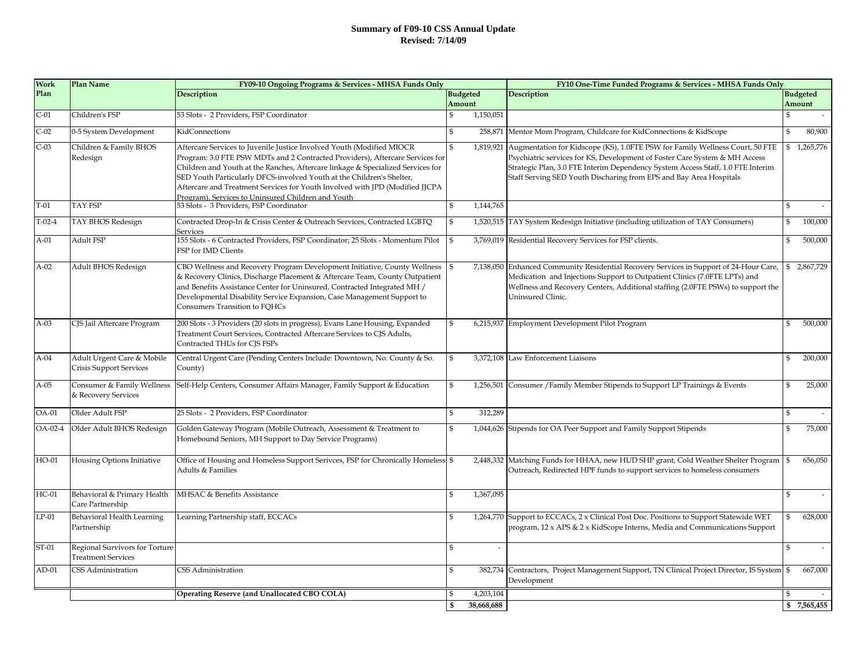#### **Summary of F09-10 CSS Annual Update Revised: 7/14/09**

| <b>Work</b> | <b>Plan Name</b>                                            | FY09-10 Ongoing Programs & Services - MHSA Funds Only                                                                                                                                                                                                                                                                                                                                                                                                    |                           |            | FY10 One-Time Funded Programs & Services - MHSA Funds Only                                                                                                                                                                                                                                                                    |                    |                           |
|-------------|-------------------------------------------------------------|----------------------------------------------------------------------------------------------------------------------------------------------------------------------------------------------------------------------------------------------------------------------------------------------------------------------------------------------------------------------------------------------------------------------------------------------------------|---------------------------|------------|-------------------------------------------------------------------------------------------------------------------------------------------------------------------------------------------------------------------------------------------------------------------------------------------------------------------------------|--------------------|---------------------------|
| Plan        |                                                             | Description                                                                                                                                                                                                                                                                                                                                                                                                                                              | <b>Budgeted</b><br>Amount |            | Description                                                                                                                                                                                                                                                                                                                   |                    | <b>Budgeted</b><br>Amount |
| $C-01$      | Children's FSP                                              | 53 Slots - 2 Providers, FSP Coordinator                                                                                                                                                                                                                                                                                                                                                                                                                  | \$                        | 1,150,051  |                                                                                                                                                                                                                                                                                                                               | $\mathbf{s}$       |                           |
| $C-02$      | 0-5 System Development                                      | KidConnections                                                                                                                                                                                                                                                                                                                                                                                                                                           | \$                        |            | 258,871 Mentor Mom Program, Childcare for KidConnections & KidScope                                                                                                                                                                                                                                                           | $\mathbf{\$}$      | 80,900                    |
| $C-03$      | Children & Family BHOS<br>Redesign                          | Aftercare Services to Juvenile Justice Involved Youth (Modified MIOCR<br>Program: 3.0 FTE PSW MDTs and 2 Contracted Providers), Aftercare Services for<br>Children and Youth at the Ranches, Aftercare linkage & Specialized Services for<br>SED Youth Particularly DFCS-involved Youth at the Children's Shelter,<br>Aftercare and Treatment Services for Youth Involved with JPD (Modified JJCPA<br>Program), Services to Uninsured Children and Youth | \$                        |            | 1,819,921 Augmentation for Kidscope (KS), 1.0FTE PSW for Family Wellness Court, 50 FTE<br>Psychiatric services for KS, Development of Foster Care System & MH Access<br>Strategic Plan, 3.0 FTE Interim Dependency System Access Staff, 1.0 FTE Interim<br>Staff Serving SED Youth Discharing from EPS and Bay Area Hospitals | \$                 | 1,265,776                 |
| $T-01$      | <b>TAY FSP</b>                                              | 53 Slots - 3 Providers, FSP Coordinator                                                                                                                                                                                                                                                                                                                                                                                                                  | \$                        | 1,144,765  |                                                                                                                                                                                                                                                                                                                               | \$.                |                           |
| $T-02-4$    | TAY BHOS Redesign                                           | Contracted Drop-In & Crisis Center & Outreach Services, Contracted LGBTQ<br><b>Services</b>                                                                                                                                                                                                                                                                                                                                                              | \$                        |            | 1,520,515 TAY System Redesign Initiative (including utilization of TAY Consumers)                                                                                                                                                                                                                                             | \$                 | 100,000                   |
| A-01        | Adult FSP                                                   | 155 Slots - 6 Contracted Providers, FSP Coordinator; 25 Slots - Momentum Pilot<br>FSP for IMD Clients                                                                                                                                                                                                                                                                                                                                                    | \$                        |            | 3,769,019 Residential Recovery Services for FSP clients.                                                                                                                                                                                                                                                                      | \$                 | 500,000                   |
| $A-02$      | Adult BHOS Redesign                                         | CBO Wellness and Recovery Program Development Initiative, County Wellness<br>& Recovery Clinics, Discharge Placement & Aftercare Team, County Outpatient<br>and Benefits Assistance Center for Uninsured, Contracted Integrated MH /<br>Developmental Disability Service Expansion, Case Management Support to<br>Consumers Transition to FQHCs                                                                                                          | \$                        |            | 7,138,050 Enhanced Community Residential Recovery Services in Support of 24-Hour Care,<br>Medication and Injections Support to Outpatient Clinics (7.0FTE LPTs) and<br>Wellness and Recovery Centers, Additional staffing (2.0FTE PSWs) to support the<br>Uninsured Clinic.                                                   | \$                 | 2,867,729                 |
| $A-03$      | CJS Jail Aftercare Program                                  | 200 Slots - 3 Providers (20 slots in progress), Evans Lane Housing, Expanded<br>Treatment Court Services, Contracted Aftercare Services to CJS Adults,<br>Contracted THUs for CJS FSPs                                                                                                                                                                                                                                                                   | \$                        |            | 6,215,937 Employment Development Pilot Program                                                                                                                                                                                                                                                                                | \$                 | 500,000                   |
| $A-04$      | Adult Urgent Care & Mobile<br>Crisis Support Services       | Central Urgent Care (Pending Centers Include: Downtown, No. County & So.<br>County)                                                                                                                                                                                                                                                                                                                                                                      | \$                        |            | 3,372,108 Law Enforcement Liaisons                                                                                                                                                                                                                                                                                            | \$                 | 200,000                   |
| $A-05$      | Consumer & Family Wellness<br>& Recovery Services           | Self-Help Centers, Consumer Affairs Manager, Family Support & Education                                                                                                                                                                                                                                                                                                                                                                                  | \$                        |            | 1,256,501 Consumer / Family Member Stipends to Support LP Trainings & Events                                                                                                                                                                                                                                                  |                    | 25,000                    |
| OA-01       | Older Adult FSP                                             | 25 Slots - 2 Providers, FSP Coordinator                                                                                                                                                                                                                                                                                                                                                                                                                  | \$                        | 312,289    |                                                                                                                                                                                                                                                                                                                               |                    |                           |
| OA-02-4     | Older Adult BHOS Redesign                                   | Golden Gateway Program (Mobile Outreach, Assessment & Treatment to<br>Homebound Seniors, MH Support to Day Service Programs)                                                                                                                                                                                                                                                                                                                             | \$                        |            | 1,044,626 Stipends for OA Peer Support and Family Support Stipends                                                                                                                                                                                                                                                            |                    | 75,000                    |
| $HO-01$     | Housing Options Initiative                                  | Office of Housing and Homeless Support Serivces, FSP for Chronically Homeless<br>Adults & Families                                                                                                                                                                                                                                                                                                                                                       | \$                        |            | 2,448,332 Matching Funds for HHAA, new HUD SHP grant, Cold Weather Shelter Program<br>Outreach, Redirected HPF funds to support services to homeless consumers                                                                                                                                                                |                    | 656,050                   |
| $HC-01$     | Behavioral & Primary Health<br>Care Partnership             | MHSAC & Benefits Assistance                                                                                                                                                                                                                                                                                                                                                                                                                              | \$                        | 1,367,095  |                                                                                                                                                                                                                                                                                                                               | $\mathbf{\hat{S}}$ |                           |
| $LP-01$     | Behavioral Health Learning<br>Partnership                   | Learning Partnership staff, ECCACs                                                                                                                                                                                                                                                                                                                                                                                                                       | \$                        | 1,264,770  | Support to ECCACs, 2 x Clinical Post Doc. Positions to Support Statewide WET<br>program, 12 x APS & 2 x KidScope Interns, Media and Communications Support                                                                                                                                                                    | \$                 | 628,000                   |
| ST-01       | Regional Survivors for Torture<br><b>Treatment Services</b> |                                                                                                                                                                                                                                                                                                                                                                                                                                                          |                           |            |                                                                                                                                                                                                                                                                                                                               | \$                 |                           |
| $AD-01$     | CSS Administration                                          | CSS Administration                                                                                                                                                                                                                                                                                                                                                                                                                                       | \$                        |            | 382,734 Contractors, Project Management Support, TN Clinical Project Director, IS System \$<br>Development                                                                                                                                                                                                                    |                    | 667,000                   |
|             |                                                             | Operating Reserve (and Unallocated CBO COLA)                                                                                                                                                                                                                                                                                                                                                                                                             |                           | 4,203,104  |                                                                                                                                                                                                                                                                                                                               |                    |                           |
|             |                                                             |                                                                                                                                                                                                                                                                                                                                                                                                                                                          | \$                        | 38,668,688 |                                                                                                                                                                                                                                                                                                                               |                    | \$7,565,455               |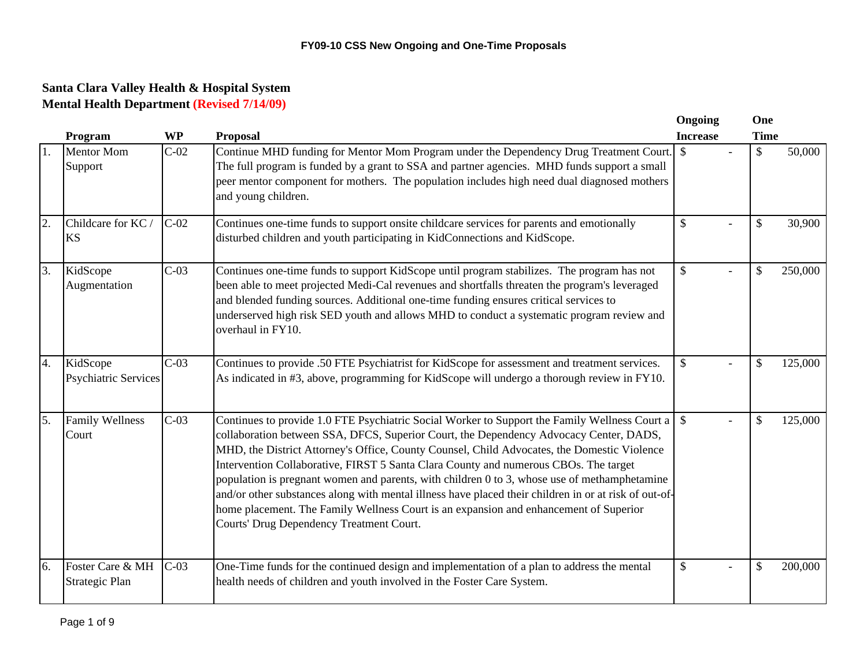|     | Program                                 | <b>WP</b> | <b>Proposal</b>                                                                                                                                                                                                                                                                                                                                                                                                                                                                                                                                                                                                             | Ongoing<br><b>Increase</b> | One<br><b>Time</b> |         |
|-----|-----------------------------------------|-----------|-----------------------------------------------------------------------------------------------------------------------------------------------------------------------------------------------------------------------------------------------------------------------------------------------------------------------------------------------------------------------------------------------------------------------------------------------------------------------------------------------------------------------------------------------------------------------------------------------------------------------------|----------------------------|--------------------|---------|
| 11. | <b>Mentor Mom</b><br>Support            | $C-02$    | Continue MHD funding for Mentor Mom Program under the Dependency Drug Treatment Court.<br>The full program is funded by a grant to SSA and partner agencies. MHD funds support a small<br>peer mentor component for mothers. The population includes high need dual diagnosed mothers<br>and young children.                                                                                                                                                                                                                                                                                                                | $\mathcal{S}$              | \$                 | 50,000  |
| 2.  | Childcare for KC/<br><b>KS</b>          | $C-02$    | Continues one-time funds to support onsite childcare services for parents and emotionally<br>disturbed children and youth participating in KidConnections and KidScope.                                                                                                                                                                                                                                                                                                                                                                                                                                                     | $\mathcal{S}$              | $\mathbf{\hat{S}}$ | 30,900  |
| 3.  | KidScope<br>Augmentation                | $C-03$    | Continues one-time funds to support KidScope until program stabilizes. The program has not<br>been able to meet projected Medi-Cal revenues and shortfalls threaten the program's leveraged<br>and blended funding sources. Additional one-time funding ensures critical services to<br>underserved high risk SED youth and allows MHD to conduct a systematic program review and<br>overhaul in FY10.                                                                                                                                                                                                                      | $\boldsymbol{\mathsf{S}}$  | \$                 | 250,000 |
| 4.  | KidScope<br><b>Psychiatric Services</b> | $C-03$    | Continues to provide .50 FTE Psychiatrist for KidScope for assessment and treatment services.<br>As indicated in #3, above, programming for KidScope will undergo a thorough review in FY10.                                                                                                                                                                                                                                                                                                                                                                                                                                | $\mathcal{S}$              | $\mathcal{S}$      | 125,000 |
| 5.  | <b>Family Wellness</b><br>Court         | $C-03$    | collaboration between SSA, DFCS, Superior Court, the Dependency Advocacy Center, DADS,<br>MHD, the District Attorney's Office, County Counsel, Child Advocates, the Domestic Violence<br>Intervention Collaborative, FIRST 5 Santa Clara County and numerous CBOs. The target<br>population is pregnant women and parents, with children 0 to 3, whose use of methamphetamine<br>and/or other substances along with mental illness have placed their children in or at risk of out-of-<br>home placement. The Family Wellness Court is an expansion and enhancement of Superior<br>Courts' Drug Dependency Treatment Court. |                            | $\mathcal{S}$      | 125,000 |
| 6.  | Foster Care & MH<br>Strategic Plan      | $C-03$    | One-Time funds for the continued design and implementation of a plan to address the mental<br>health needs of children and youth involved in the Foster Care System.                                                                                                                                                                                                                                                                                                                                                                                                                                                        | $\boldsymbol{\mathsf{S}}$  | $\mathcal{S}$      | 200,000 |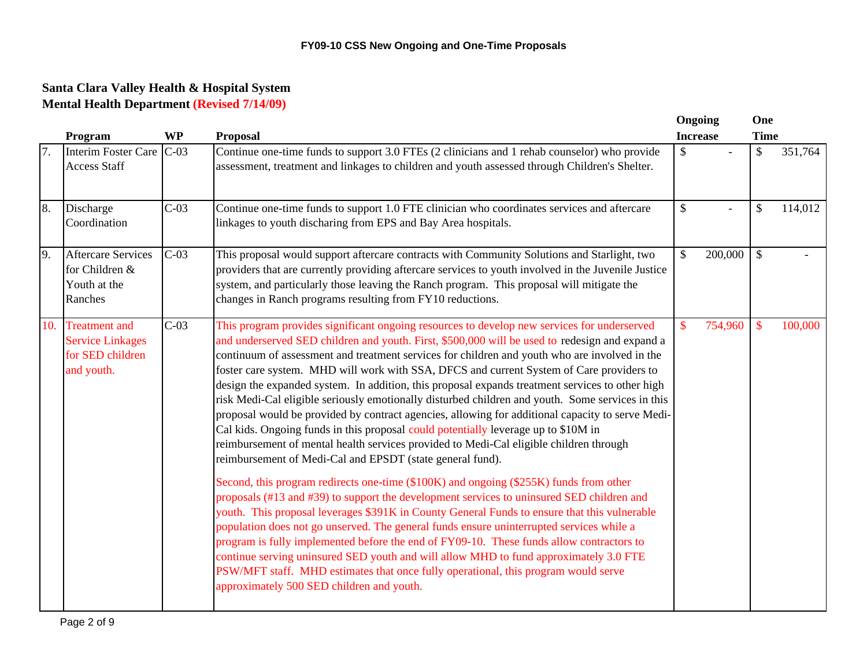|     |                                                                                   |           |                                                                                                                                                                                                                                                                                                                                                                                                                                                                                                                                                                                                                                                                                                                                                                                                                                                                                                                                                                                                                                                                                                                                                                                                                                                                                                                                                                                                                                                                                                                                                                                                                                                               | Ongoing                                               | One                       |         |
|-----|-----------------------------------------------------------------------------------|-----------|---------------------------------------------------------------------------------------------------------------------------------------------------------------------------------------------------------------------------------------------------------------------------------------------------------------------------------------------------------------------------------------------------------------------------------------------------------------------------------------------------------------------------------------------------------------------------------------------------------------------------------------------------------------------------------------------------------------------------------------------------------------------------------------------------------------------------------------------------------------------------------------------------------------------------------------------------------------------------------------------------------------------------------------------------------------------------------------------------------------------------------------------------------------------------------------------------------------------------------------------------------------------------------------------------------------------------------------------------------------------------------------------------------------------------------------------------------------------------------------------------------------------------------------------------------------------------------------------------------------------------------------------------------------|-------------------------------------------------------|---------------------------|---------|
|     | Program                                                                           | <b>WP</b> | <b>Proposal</b>                                                                                                                                                                                                                                                                                                                                                                                                                                                                                                                                                                                                                                                                                                                                                                                                                                                                                                                                                                                                                                                                                                                                                                                                                                                                                                                                                                                                                                                                                                                                                                                                                                               | <b>Increase</b>                                       | <b>Time</b>               |         |
| 7.  | Interim Foster Care C-03<br><b>Access Staff</b>                                   |           | Continue one-time funds to support 3.0 FTEs (2 clinicians and 1 rehab counselor) who provide<br>assessment, treatment and linkages to children and youth assessed through Children's Shelter.                                                                                                                                                                                                                                                                                                                                                                                                                                                                                                                                                                                                                                                                                                                                                                                                                                                                                                                                                                                                                                                                                                                                                                                                                                                                                                                                                                                                                                                                 | $\boldsymbol{\mathsf{S}}$                             | \$                        | 351,764 |
| 8.  | Discharge<br>Coordination                                                         | $C-03$    | Continue one-time funds to support 1.0 FTE clinician who coordinates services and aftercare<br>linkages to youth discharing from EPS and Bay Area hospitals.                                                                                                                                                                                                                                                                                                                                                                                                                                                                                                                                                                                                                                                                                                                                                                                                                                                                                                                                                                                                                                                                                                                                                                                                                                                                                                                                                                                                                                                                                                  | $\boldsymbol{\mathsf{S}}$<br>$\overline{\phantom{0}}$ | $\mathbb{S}$              | 114,012 |
| 9.  | <b>Aftercare Services</b><br>for Children &<br>Youth at the<br>Ranches            | $C-03$    | This proposal would support aftercare contracts with Community Solutions and Starlight, two<br>providers that are currently providing aftercare services to youth involved in the Juvenile Justice<br>system, and particularly those leaving the Ranch program. This proposal will mitigate the<br>changes in Ranch programs resulting from FY10 reductions.                                                                                                                                                                                                                                                                                                                                                                                                                                                                                                                                                                                                                                                                                                                                                                                                                                                                                                                                                                                                                                                                                                                                                                                                                                                                                                  | 200,000<br>$\mathcal{S}$                              | $\mathcal{S}$             |         |
| 10. | <b>Treatment</b> and<br><b>Service Linkages</b><br>for SED children<br>and youth. | $C-03$    | This program provides significant ongoing resources to develop new services for underserved<br>and underserved SED children and youth. First, \$500,000 will be used to redesign and expand a<br>continuum of assessment and treatment services for children and youth who are involved in the<br>foster care system. MHD will work with SSA, DFCS and current System of Care providers to<br>design the expanded system. In addition, this proposal expands treatment services to other high<br>risk Medi-Cal eligible seriously emotionally disturbed children and youth. Some services in this<br>proposal would be provided by contract agencies, allowing for additional capacity to serve Medi-<br>Cal kids. Ongoing funds in this proposal could potentially leverage up to \$10M in<br>reimbursement of mental health services provided to Medi-Cal eligible children through<br>reimbursement of Medi-Cal and EPSDT (state general fund).<br>Second, this program redirects one-time (\$100K) and ongoing (\$255K) funds from other<br>proposals (#13 and #39) to support the development services to uninsured SED children and<br>youth. This proposal leverages \$391K in County General Funds to ensure that this vulnerable<br>population does not go unserved. The general funds ensure uninterrupted services while a<br>program is fully implemented before the end of FY09-10. These funds allow contractors to<br>continue serving uninsured SED youth and will allow MHD to fund approximately 3.0 FTE<br>PSW/MFT staff. MHD estimates that once fully operational, this program would serve<br>approximately 500 SED children and youth. | 754,960<br>\$                                         | $\boldsymbol{\mathsf{S}}$ | 100,000 |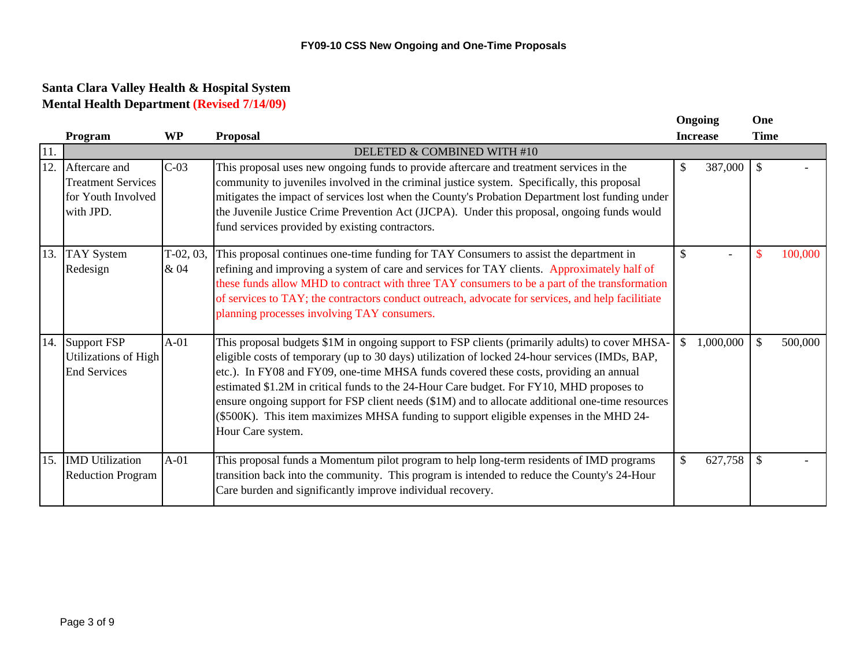|     |                                                                               |                     |                                                                                                                                                                                                                                                                                                                                                                                                                                                                                                                                                                                                          | Ongoing                 | One           |         |
|-----|-------------------------------------------------------------------------------|---------------------|----------------------------------------------------------------------------------------------------------------------------------------------------------------------------------------------------------------------------------------------------------------------------------------------------------------------------------------------------------------------------------------------------------------------------------------------------------------------------------------------------------------------------------------------------------------------------------------------------------|-------------------------|---------------|---------|
|     | Program                                                                       | <b>WP</b>           | <b>Proposal</b>                                                                                                                                                                                                                                                                                                                                                                                                                                                                                                                                                                                          | <b>Increase</b>         | <b>Time</b>   |         |
| 11. |                                                                               |                     | DELETED & COMBINED WITH #10                                                                                                                                                                                                                                                                                                                                                                                                                                                                                                                                                                              |                         |               |         |
| 12. | Aftercare and<br><b>Treatment Services</b><br>for Youth Involved<br>with JPD. | $C-03$              | This proposal uses new ongoing funds to provide aftercare and treatment services in the<br>community to juveniles involved in the criminal justice system. Specifically, this proposal<br>mitigates the impact of services lost when the County's Probation Department lost funding under<br>the Juvenile Justice Crime Prevention Act (JJCPA). Under this proposal, ongoing funds would<br>fund services provided by existing contractors.                                                                                                                                                              | 387,000<br>$\mathbb{S}$ | $\mathcal{S}$ |         |
| 13. | <b>TAY System</b><br>Redesign                                                 | $T-02, 03,$<br>& 04 | This proposal continues one-time funding for TAY Consumers to assist the department in<br>refining and improving a system of care and services for TAY clients. Approximately half of<br>these funds allow MHD to contract with three TAY consumers to be a part of the transformation<br>of services to TAY; the contractors conduct outreach, advocate for services, and help facilitiate<br>planning processes involving TAY consumers.                                                                                                                                                               | $\mathcal{S}$           | $\mathbb{S}$  | 100,000 |
|     | 14. Support FSP<br>Utilizations of High<br><b>End Services</b>                | $A-01$              | This proposal budgets \$1M in ongoing support to FSP clients (primarily adults) to cover MHSA-<br>eligible costs of temporary (up to 30 days) utilization of locked 24-hour services (IMDs, BAP,<br>etc.). In FY08 and FY09, one-time MHSA funds covered these costs, providing an annual<br>estimated \$1.2M in critical funds to the 24-Hour Care budget. For FY10, MHD proposes to<br>ensure ongoing support for FSP client needs (\$1M) and to allocate additional one-time resources<br>(\$500K). This item maximizes MHSA funding to support eligible expenses in the MHD 24-<br>Hour Care system. | 1,000,000<br>\$         | \$            | 500,000 |
|     | 15. IMD Utilization<br><b>Reduction Program</b>                               | $A-01$              | This proposal funds a Momentum pilot program to help long-term residents of IMD programs<br>transition back into the community. This program is intended to reduce the County's 24-Hour<br>Care burden and significantly improve individual recovery.                                                                                                                                                                                                                                                                                                                                                    | \$<br>627,758           | -S            |         |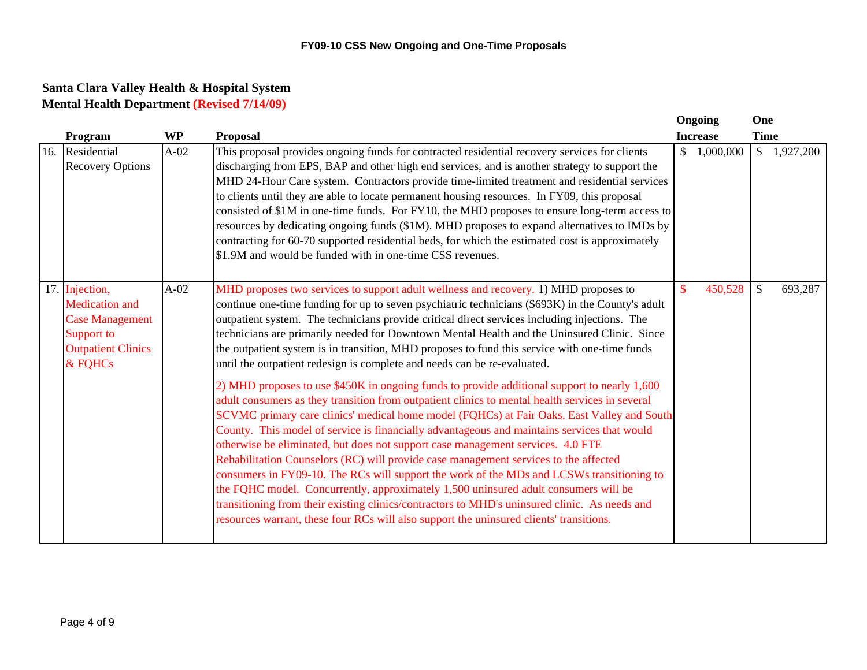|                                                                                                                         |           |                                                                                                                                                                                                                                                                                                                                                                                                                                                                                                                                                                                                                                                                                                                                                                                                                                                                                                                                                                                                                                                                                                                                                                                                                                                                                                                                                                                                                                                                                                                                  | <b>Ongoing</b>            | One           |           |
|-------------------------------------------------------------------------------------------------------------------------|-----------|----------------------------------------------------------------------------------------------------------------------------------------------------------------------------------------------------------------------------------------------------------------------------------------------------------------------------------------------------------------------------------------------------------------------------------------------------------------------------------------------------------------------------------------------------------------------------------------------------------------------------------------------------------------------------------------------------------------------------------------------------------------------------------------------------------------------------------------------------------------------------------------------------------------------------------------------------------------------------------------------------------------------------------------------------------------------------------------------------------------------------------------------------------------------------------------------------------------------------------------------------------------------------------------------------------------------------------------------------------------------------------------------------------------------------------------------------------------------------------------------------------------------------------|---------------------------|---------------|-----------|
| Program                                                                                                                 | <b>WP</b> | <b>Proposal</b>                                                                                                                                                                                                                                                                                                                                                                                                                                                                                                                                                                                                                                                                                                                                                                                                                                                                                                                                                                                                                                                                                                                                                                                                                                                                                                                                                                                                                                                                                                                  | <b>Increase</b>           | <b>Time</b>   |           |
| 16. Residential<br><b>Recovery Options</b>                                                                              | $A-02$    | This proposal provides ongoing funds for contracted residential recovery services for clients<br>discharging from EPS, BAP and other high end services, and is another strategy to support the<br>MHD 24-Hour Care system. Contractors provide time-limited treatment and residential services<br>to clients until they are able to locate permanent housing resources. In FY09, this proposal<br>consisted of \$1M in one-time funds. For FY10, the MHD proposes to ensure long-term access to<br>resources by dedicating ongoing funds (\$1M). MHD proposes to expand alternatives to IMDs by<br>contracting for 60-70 supported residential beds, for which the estimated cost is approximately<br>\$1.9M and would be funded with in one-time CSS revenues.                                                                                                                                                                                                                                                                                                                                                                                                                                                                                                                                                                                                                                                                                                                                                                  | $\mathbb{S}$<br>1,000,000 | $\mathbb{S}$  | 1,927,200 |
| 17. Injection,<br><b>Medication</b> and<br><b>Case Management</b><br>Support to<br><b>Outpatient Clinics</b><br>& FOHCs | $A-02$    | MHD proposes two services to support adult wellness and recovery. 1) MHD proposes to<br>continue one-time funding for up to seven psychiatric technicians (\$693K) in the County's adult<br>outpatient system. The technicians provide critical direct services including injections. The<br>technicians are primarily needed for Downtown Mental Health and the Uninsured Clinic. Since<br>the outpatient system is in transition, MHD proposes to fund this service with one-time funds<br>until the outpatient redesign is complete and needs can be re-evaluated.<br>2) MHD proposes to use \$450K in ongoing funds to provide additional support to nearly 1,600<br>adult consumers as they transition from outpatient clinics to mental health services in several<br>SCVMC primary care clinics' medical home model (FQHCs) at Fair Oaks, East Valley and South<br>County. This model of service is financially advantageous and maintains services that would<br>otherwise be eliminated, but does not support case management services. 4.0 FTE<br>Rehabilitation Counselors (RC) will provide case management services to the affected<br>consumers in FY09-10. The RCs will support the work of the MDs and LCSWs transitioning to<br>the FQHC model. Concurrently, approximately 1,500 uninsured adult consumers will be<br>transitioning from their existing clinics/contractors to MHD's uninsured clinic. As needs and<br>resources warrant, these four RCs will also support the uninsured clients' transitions. | 450,528<br><sup>\$</sup>  | $\mathcal{S}$ | 693,287   |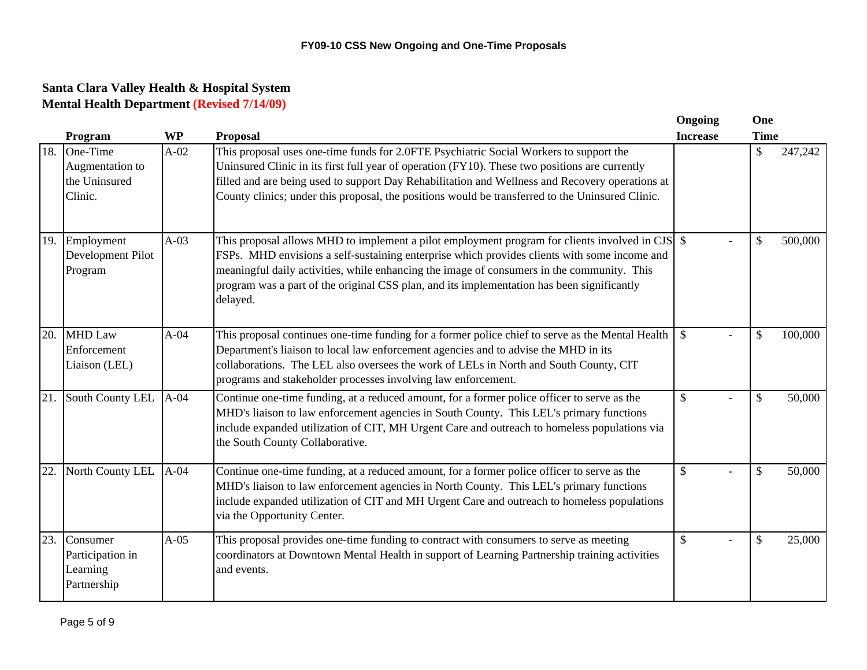|     |                                                         |           |                                                                                                                                                                                                                                                                                                                                                                                                          | Ongoing         | One           |         |
|-----|---------------------------------------------------------|-----------|----------------------------------------------------------------------------------------------------------------------------------------------------------------------------------------------------------------------------------------------------------------------------------------------------------------------------------------------------------------------------------------------------------|-----------------|---------------|---------|
|     | Program                                                 | <b>WP</b> | <b>Proposal</b>                                                                                                                                                                                                                                                                                                                                                                                          | <b>Increase</b> | <b>Time</b>   |         |
| 18. | One-Time<br>Augmentation to<br>the Uninsured<br>Clinic. | $A-02$    | This proposal uses one-time funds for 2.0FTE Psychiatric Social Workers to support the<br>Uninsured Clinic in its first full year of operation (FY10). These two positions are currently<br>filled and are being used to support Day Rehabilitation and Wellness and Recovery operations at<br>County clinics; under this proposal, the positions would be transferred to the Uninsured Clinic.          |                 | \$            | 247,242 |
| 19. | Employment<br>Development Pilot<br>Program              | $A-03$    | This proposal allows MHD to implement a pilot employment program for clients involved in CJS $\$<br>FSPs. MHD envisions a self-sustaining enterprise which provides clients with some income and<br>meaningful daily activities, while enhancing the image of consumers in the community. This<br>program was a part of the original CSS plan, and its implementation has been significantly<br>delayed. |                 | $\mathcal{S}$ | 500,000 |
| 20. | <b>MHD Law</b><br>Enforcement<br>Liaison (LEL)          | $A-04$    | This proposal continues one-time funding for a former police chief to serve as the Mental Health<br>Department's liaison to local law enforcement agencies and to advise the MHD in its<br>collaborations. The LEL also oversees the work of LELs in North and South County, CIT<br>programs and stakeholder processes involving law enforcement.                                                        | $\mathcal{S}$   | \$            | 100,000 |
| 21. | South County LEL                                        | $A-04$    | Continue one-time funding, at a reduced amount, for a former police officer to serve as the<br>MHD's liaison to law enforcement agencies in South County. This LEL's primary functions<br>include expanded utilization of CIT, MH Urgent Care and outreach to homeless populations via<br>the South County Collaborative.                                                                                | $\mathcal{S}$   | \$            | 50,000  |
| 22. | North County LEL                                        | $A-04$    | Continue one-time funding, at a reduced amount, for a former police officer to serve as the<br>MHD's liaison to law enforcement agencies in North County. This LEL's primary functions<br>include expanded utilization of CIT and MH Urgent Care and outreach to homeless populations<br>via the Opportunity Center.                                                                                     | $\mathcal{S}$   | \$            | 50,000  |
| 23. | Consumer<br>Participation in<br>Learning<br>Partnership | $A-05$    | This proposal provides one-time funding to contract with consumers to serve as meeting<br>coordinators at Downtown Mental Health in support of Learning Partnership training activities<br>and events.                                                                                                                                                                                                   | $\mathcal{S}$   | \$            | 25,000  |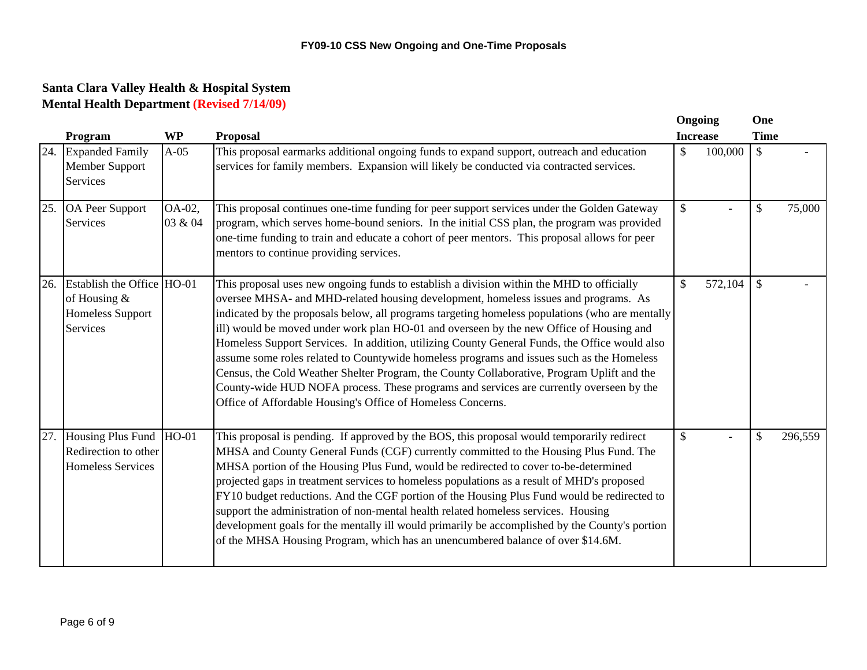|     | Program                                                                           | <b>WP</b>         | <b>Proposal</b>                                                                                                                                                                                                                                                                                                                                                                                                                                                                                                                                                                                                                                                                                                                                                                                                                      | Ongoing<br><b>Increase</b> |         | One<br><b>Time</b>        |         |
|-----|-----------------------------------------------------------------------------------|-------------------|--------------------------------------------------------------------------------------------------------------------------------------------------------------------------------------------------------------------------------------------------------------------------------------------------------------------------------------------------------------------------------------------------------------------------------------------------------------------------------------------------------------------------------------------------------------------------------------------------------------------------------------------------------------------------------------------------------------------------------------------------------------------------------------------------------------------------------------|----------------------------|---------|---------------------------|---------|
| 24. | <b>Expanded Family</b><br>Member Support<br>Services                              | $A-05$            | This proposal earmarks additional ongoing funds to expand support, outreach and education<br>services for family members. Expansion will likely be conducted via contracted services.                                                                                                                                                                                                                                                                                                                                                                                                                                                                                                                                                                                                                                                | $\mathcal{S}$              | 100,000 | $\mathcal{S}$             |         |
| 25. | OA Peer Support<br>Services                                                       | OA-02,<br>03 & 04 | This proposal continues one-time funding for peer support services under the Golden Gateway<br>program, which serves home-bound seniors. In the initial CSS plan, the program was provided<br>one-time funding to train and educate a cohort of peer mentors. This proposal allows for peer<br>mentors to continue providing services.                                                                                                                                                                                                                                                                                                                                                                                                                                                                                               | $\mathcal{S}$              |         | \$                        | 75,000  |
| 26. | Establish the Office HO-01<br>of Housing &<br><b>Homeless Support</b><br>Services |                   | This proposal uses new ongoing funds to establish a division within the MHD to officially<br>oversee MHSA- and MHD-related housing development, homeless issues and programs. As<br>indicated by the proposals below, all programs targeting homeless populations (who are mentally<br>ill) would be moved under work plan HO-01 and overseen by the new Office of Housing and<br>Homeless Support Services. In addition, utilizing County General Funds, the Office would also<br>assume some roles related to Countywide homeless programs and issues such as the Homeless<br>Census, the Cold Weather Shelter Program, the County Collaborative, Program Uplift and the<br>County-wide HUD NOFA process. These programs and services are currently overseen by the<br>Office of Affordable Housing's Office of Homeless Concerns. | \$                         | 572,104 | $\boldsymbol{\mathsf{S}}$ |         |
| 27. | Housing Plus Fund HO-01<br>Redirection to other<br>Homeless Services              |                   | This proposal is pending. If approved by the BOS, this proposal would temporarily redirect<br>MHSA and County General Funds (CGF) currently committed to the Housing Plus Fund. The<br>MHSA portion of the Housing Plus Fund, would be redirected to cover to-be-determined<br>projected gaps in treatment services to homeless populations as a result of MHD's proposed<br>FY10 budget reductions. And the CGF portion of the Housing Plus Fund would be redirected to<br>support the administration of non-mental health related homeless services. Housing<br>development goals for the mentally ill would primarily be accomplished by the County's portion<br>of the MHSA Housing Program, which has an unencumbered balance of over \$14.6M.                                                                                  | $\mathcal{S}$              |         | $\mathcal{S}$             | 296,559 |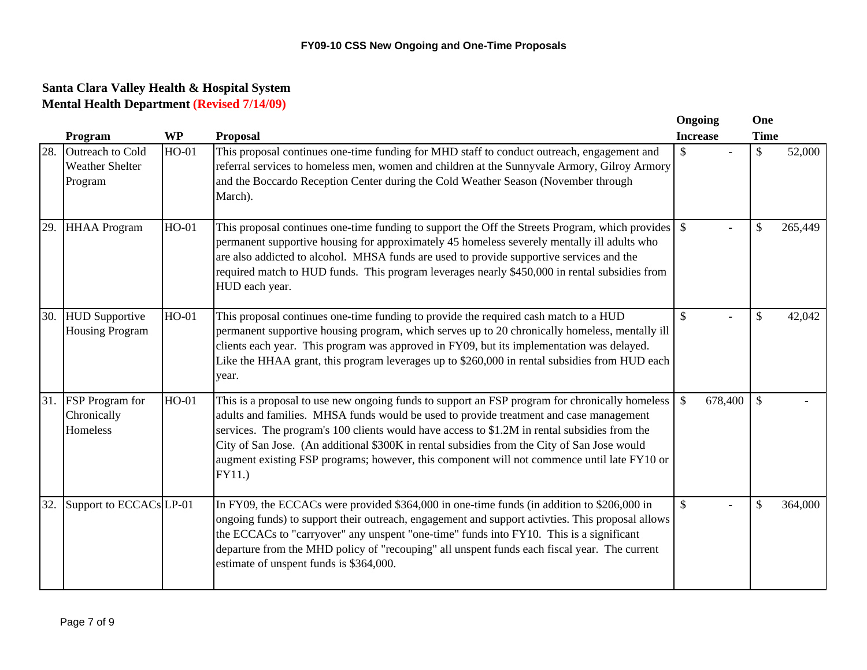|     |                                                       |           |                                                                                                                                                                                                                                                                                                                                                                                                                                                                                                  | Ongoing         |         | One           |         |
|-----|-------------------------------------------------------|-----------|--------------------------------------------------------------------------------------------------------------------------------------------------------------------------------------------------------------------------------------------------------------------------------------------------------------------------------------------------------------------------------------------------------------------------------------------------------------------------------------------------|-----------------|---------|---------------|---------|
|     | Program                                               | <b>WP</b> | <b>Proposal</b>                                                                                                                                                                                                                                                                                                                                                                                                                                                                                  | <b>Increase</b> |         | <b>Time</b>   |         |
| 28. | Outreach to Cold<br><b>Weather Shelter</b><br>Program | HO-01     | This proposal continues one-time funding for MHD staff to conduct outreach, engagement and<br>referral services to homeless men, women and children at the Sunnyvale Armory, Gilroy Armory<br>and the Boccardo Reception Center during the Cold Weather Season (November through<br>March).                                                                                                                                                                                                      | \$              |         | \$            | 52,000  |
| 29. | <b>HHAA</b> Program                                   | $HO-01$   | permanent supportive housing for approximately 45 homeless severely mentally ill adults who<br>are also addicted to alcohol. MHSA funds are used to provide supportive services and the<br>required match to HUD funds. This program leverages nearly \$450,000 in rental subsidies from<br>HUD each year.                                                                                                                                                                                       |                 |         | \$            | 265,449 |
| 30. | <b>HUD</b> Supportive<br><b>Housing Program</b>       | $HO-01$   | This proposal continues one-time funding to provide the required cash match to a HUD<br>permanent supportive housing program, which serves up to 20 chronically homeless, mentally ill<br>clients each year. This program was approved in FY09, but its implementation was delayed.<br>Like the HHAA grant, this program leverages up to \$260,000 in rental subsidies from HUD each<br>year.                                                                                                    | $\mathbb{S}$    |         | \$            | 42,042  |
| 31. | <b>FSP</b> Program for<br>Chronically<br>Homeless     | $HO-01$   | This is a proposal to use new ongoing funds to support an FSP program for chronically homeless<br>adults and families. MHSA funds would be used to provide treatment and case management<br>services. The program's 100 clients would have access to \$1.2M in rental subsidies from the<br>City of San Jose. (An additional \$300K in rental subsidies from the City of San Jose would<br>augment existing FSP programs; however, this component will not commence until late FY10 or<br>FY11.) | $\mathcal{S}$   | 678,400 | $\mathcal{S}$ |         |
| 32. | Support to ECCACsLP-01                                |           | In FY09, the ECCACs were provided \$364,000 in one-time funds (in addition to \$206,000 in<br>ongoing funds) to support their outreach, engagement and support activties. This proposal allows<br>the ECCACs to "carryover" any unspent "one-time" funds into FY10. This is a significant<br>departure from the MHD policy of "recouping" all unspent funds each fiscal year. The current<br>estimate of unspent funds is \$364,000.                                                             | $\mathbb{S}$    |         | \$            | 364,000 |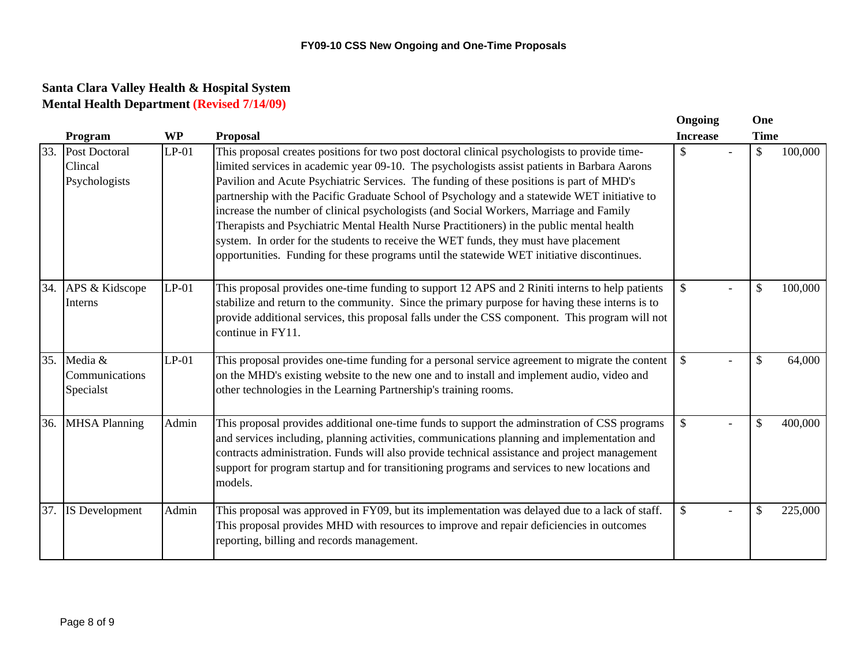|     |                                           |           |                                                                                                                                                                                                                                                                                                                                                                                                                                                                                                                                                                                                                                                                                                                                                                        | Ongoing         | One           |         |
|-----|-------------------------------------------|-----------|------------------------------------------------------------------------------------------------------------------------------------------------------------------------------------------------------------------------------------------------------------------------------------------------------------------------------------------------------------------------------------------------------------------------------------------------------------------------------------------------------------------------------------------------------------------------------------------------------------------------------------------------------------------------------------------------------------------------------------------------------------------------|-----------------|---------------|---------|
|     | Program                                   | <b>WP</b> | <b>Proposal</b>                                                                                                                                                                                                                                                                                                                                                                                                                                                                                                                                                                                                                                                                                                                                                        | <b>Increase</b> | <b>Time</b>   |         |
| 33. | Post Doctoral<br>Clincal<br>Psychologists | $LP-01$   | This proposal creates positions for two post doctoral clinical psychologists to provide time-<br>limited services in academic year 09-10. The psychologists assist patients in Barbara Aarons<br>Pavilion and Acute Psychiatric Services. The funding of these positions is part of MHD's<br>partnership with the Pacific Graduate School of Psychology and a statewide WET initiative to<br>increase the number of clinical psychologists (and Social Workers, Marriage and Family<br>Therapists and Psychiatric Mental Health Nurse Practitioners) in the public mental health<br>system. In order for the students to receive the WET funds, they must have placement<br>opportunities. Funding for these programs until the statewide WET initiative discontinues. | $\mathbb{S}$    | $\mathcal{S}$ | 100,000 |
| 34. | APS & Kidscope<br>Interns                 | $LP-01$   | This proposal provides one-time funding to support 12 APS and 2 Riniti interns to help patients<br>stabilize and return to the community. Since the primary purpose for having these interns is to<br>provide additional services, this proposal falls under the CSS component. This program will not<br>continue in FY11.                                                                                                                                                                                                                                                                                                                                                                                                                                             | \$              | \$            | 100,000 |
| 35. | Media &<br>Communications<br>Specialst    | $LP-01$   | This proposal provides one-time funding for a personal service agreement to migrate the content<br>on the MHD's existing website to the new one and to install and implement audio, video and<br>other technologies in the Learning Partnership's training rooms.                                                                                                                                                                                                                                                                                                                                                                                                                                                                                                      | \$              | \$            | 64,000  |
| 36. | <b>MHSA Planning</b>                      | Admin     | This proposal provides additional one-time funds to support the adminstration of CSS programs<br>and services including, planning activities, communications planning and implementation and<br>contracts administration. Funds will also provide technical assistance and project management<br>support for program startup and for transitioning programs and services to new locations and<br>models.                                                                                                                                                                                                                                                                                                                                                               | $\mathbb{S}$    | \$            | 400,000 |
| 37. | IS Development                            | Admin     | This proposal was approved in FY09, but its implementation was delayed due to a lack of staff.<br>This proposal provides MHD with resources to improve and repair deficiencies in outcomes<br>reporting, billing and records management.                                                                                                                                                                                                                                                                                                                                                                                                                                                                                                                               | \$              | \$            | 225,000 |